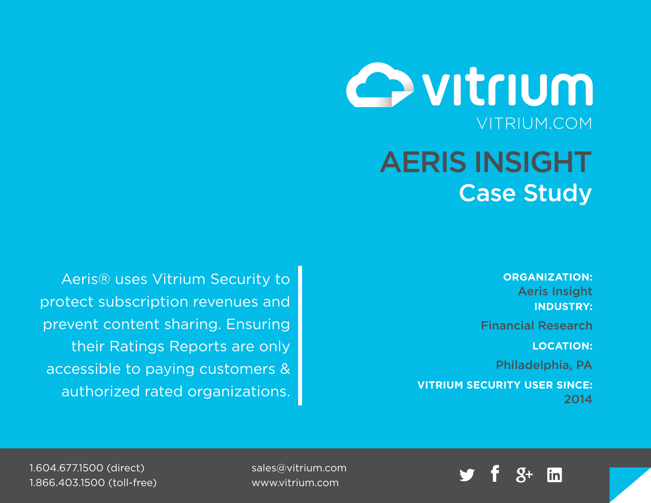

**ORGANIZATION:**

Aeris Insight **INDUSTRY:**

Financial Research

**LOCATION:**

Philadelphia, PA

**VITRIUM SECURITY USER SINCE:** 2014

Aeris® uses Vitrium Security to protect subscription revenues and prevent content sharing. Ensuring their Ratings Reports are only accessible to paying customers & authorized rated organizations.



sales@vitrium.com www.vitrium.com

1.604.677.1500 (direct) 1.866.403.1500 (toll-free)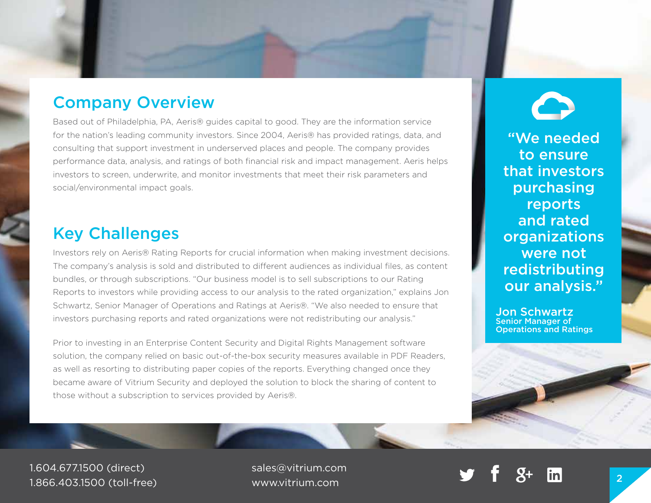# Company Overview

Case Study

Based out of Philadelphia, PA, Aeris® guides capital to good. They are the information service for the nation's leading community investors. Since 2004, Aeris® has provided ratings, data, and consulting that support investment in underserved places and people. The company provides performance data, analysis, and ratings of both financial risk and impact management. Aeris helps investors to screen, underwrite, and monitor investments that meet their risk parameters and social/environmental impact goals.

## Key Challenges

Investors rely on Aeris® Rating Reports for crucial information when making investment decisions. The company's analysis is sold and distributed to different audiences as individual files, as content bundles, or through subscriptions. "Our business model is to sell subscriptions to our Rating Reports to investors while providing access to our analysis to the rated organization," explains Jon Schwartz, Senior Manager of Operations and Ratings at Aeris®. "We also needed to ensure that investors purchasing reports and rated organizations were not redistributing our analysis."

Prior to investing in an Enterprise Content Security and Digital Rights Management software solution, the company relied on basic out-of-the-box security measures available in PDF Readers, as well as resorting to distributing paper copies of the reports. Everything changed once they became aware of Vitrium Security and deployed the solution to block the sharing of content to those without a subscription to services provided by Aeris®.

"We needed to ensure that investors purchasing reports and rated organizations were not redistributing our analysis."

Jon Schwartz Senior Manager of Operations and Ratings

1.604.677.1500 (direct) 1.866.403.1500 (toll-free)

sales@vitrium.com www.vitrium.com <sup>2</sup>

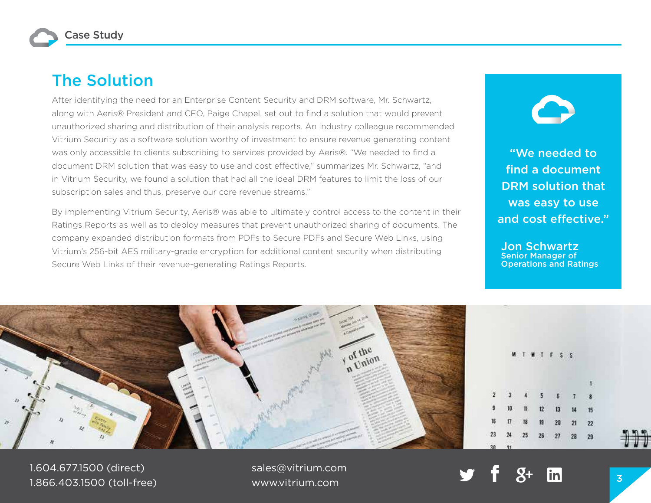Case Study

### The Solution

After identifying the need for an Enterprise Content Security and DRM software, Mr. Schwartz, along with Aeris® President and CEO, Paige Chapel, set out to find a solution that would prevent unauthorized sharing and distribution of their analysis reports. An industry colleague recommended Vitrium Security as a software solution worthy of investment to ensure revenue generating content was only accessible to clients subscribing to services provided by Aeris®. "We needed to find a document DRM solution that was easy to use and cost effective," summarizes Mr. Schwartz, "and in Vitrium Security, we found a solution that had all the ideal DRM features to limit the loss of our subscription sales and thus, preserve our core revenue streams."

By implementing Vitrium Security, Aeris® was able to ultimately control access to the content in their Ratings Reports as well as to deploy measures that prevent unauthorized sharing of documents. The company expanded distribution formats from PDFs to Secure PDFs and Secure Web Links, using Vitrium's 256-bit AES military-grade encryption for additional content security when distributing Secure Web Links of their revenue-generating Ratings Reports.

"We needed to find a document DRM solution that was easy to use and cost effective."

Jon Schwartz Senior Manager of Operations and Ratings



1.604.677.1500 (direct) 1.866.403.1500 (toll-free)

sales@vitrium.com www.vitrium.com **3** 3 3 3 3